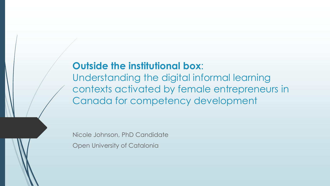### **Outside the institutional box**:

Understanding the digital informal learning contexts activated by female entrepreneurs in Canada for competency development

Nicole Johnson, PhD Candidate

Open University of Catalonia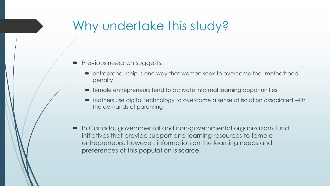# Why undertake this study?

- Previous research suggests:
	- entrepreneurship is one way that women seek to overcome the 'motherhood penalty'
	- female entrepreneurs tend to activate informal learning opportunities
	- mothers use digital technology to overcome a sense of isolation associated with the demands of parenting
- In Canada, governmental and non-governmental organizations fund initiatives that provide support and learning resources to female entrepreneurs; however, information on the learning needs and preferences of this population is scarce.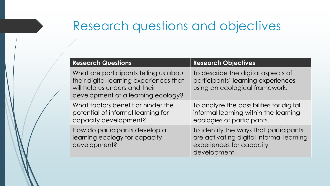# Research questions and objectives

| <b>Research Questions</b>                                                                                                                                | <b>Research Objectives</b>                                                                                                     |
|----------------------------------------------------------------------------------------------------------------------------------------------------------|--------------------------------------------------------------------------------------------------------------------------------|
| What are participants telling us about<br>their digital learning experiences that<br>will help us understand their<br>development of a learning ecology? | To describe the digital aspects of<br>participants' learning experiences<br>using an ecological framework.                     |
| What factors benefit or hinder the<br>potential of informal learning for<br>capacity development?                                                        | To analyze the possibilities for digital<br>informal learning within the learning<br>ecologies of participants.                |
| How do participants develop a<br>learning ecology for capacity<br>development?                                                                           | To identify the ways that participants<br>are activating digital informal learning<br>experiences for capacity<br>development. |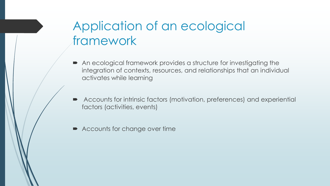# Application of an ecological framework

- An ecological framework provides a structure for investigating the integration of contexts, resources, and relationships that an individual activates while learning
- Accounts for intrinsic factors (motivation, preferences) and experiential factors (activities, events)
- **Accounts for change over time**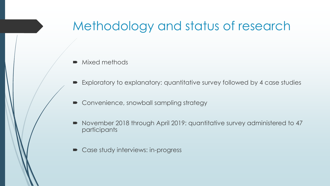# Methodology and status of research

- Mixed methods
- Exploratory to explanatory: quantitative survey followed by 4 case studies
- Convenience, snowball sampling strategy
- November 2018 through April 2019: quantitative survey administered to 47 participants
- Case study interviews: in-progress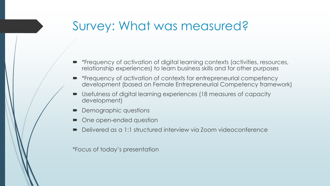# Survey: What was measured?

- \*Frequency of activation of digital learning contexts (activities, resources, relationship experiences) to learn business skills and for other purposes
- \*Frequency of activation of contexts for entrepreneurial competency development (based on Female Entrepreneurial Competency framework)
- Usefulness of digital learning experiences (18 measures of capacity development)
- Demographic questions
- One open-ended question
- Delivered as a 1:1 structured interview via Zoom videoconference

\*Focus of today's presentation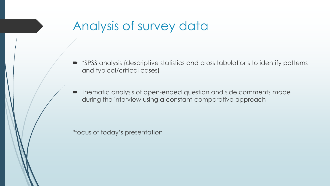# Analysis of survey data

- \*SPSS analysis (descriptive statistics and cross tabulations to identify patterns and typical/critical cases)
- Thematic analysis of open-ended question and side comments made during the interview using a constant-comparative approach

\*focus of today's presentation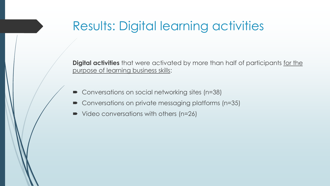# Results: Digital learning activities

**Digital activities** that were activated by more than half of participants for the purpose of learning business skills:

- Conversations on social networking sites (n=38)
- Conversations on private messaging platforms (n=35)
- Video conversations with others (n=26)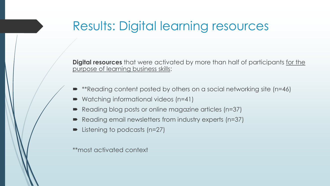## Results: Digital learning resources

**Digital resources** that were activated by more than half of participants for the purpose of learning business skills:

- \*\*Reading content posted by others on a social networking site (n=46)
- Watching informational videos (n=41)
- Reading blog posts or online magazine articles (n=37)
- Reading email newsletters from industry experts (n=37)
- Listening to podcasts (n=27)

\*\*most activated context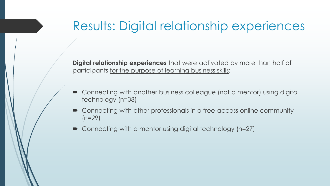### Results: Digital relationship experiences

**Digital relationship experiences** that were activated by more than half of participants for the purpose of learning business skills:

- Connecting with another business colleague (not a mentor) using digital technology (n=38)
- Connecting with other professionals in a free-access online community  $(n=29)$
- Connecting with a mentor using digital technology (n=27)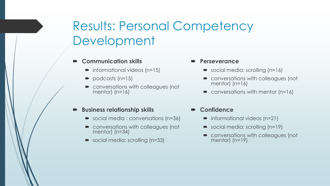# Results: Personal Competency Development

#### **Communication skills**

- $\blacksquare$  informational videos (n=15)
- $\rightarrow$  podcasts (n=15)
- **•** conversations with colleagues (not mentor) (n=16)

#### **Business relationship skills**

- social media : conversations (n=36)
- conversations with colleagues (not mentor) (n=34)
- social media: scrolling (n=33)

#### **Perseverance**

- social media: scrolling (n=16)
- **conversations with colleagues (not**) mentor) (n=16)
- $\bullet$  conversations with mentor (n=16)
- **Confidence**
	- informational videos (n=21)
	- social media: scrolling (n=19)
	- conversations with colleagues (not mentor) (n=19)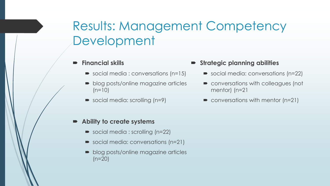# Results: Management Competency Development

### **Financial skills**

- social media : conversations (n=15)
- blog posts/online magazine articles  $(n=10)$
- social media: scrolling (n=9)

#### **Ability to create systems**

- social media : scrolling (n=22)
- social media: conversations (n=21)
- blog posts/online magazine articles  $(n=20)$

### **Strategic planning abilities**

- social media: conversations (n=22)
- conversations with colleagues (not mentor) (n=21
- $\bullet$  conversations with mentor (n=21)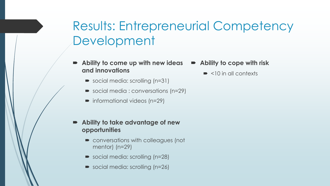# Results: Entrepreneurial Competency Development

- **Ability to come up with new ideas and innovations**
	- social media: scrolling (n=31)
	- social media : conversations (n=29)
	- informational videos (n=29)
- **Ability to take advantage of new opportunities**
	- conversations with colleagues (not mentor) (n=29)
	- social media: scrolling (n=28)
	- social media: scrolling (n=26)
- **Ability to cope with risk**
	- $\bullet$  <10 in all contexts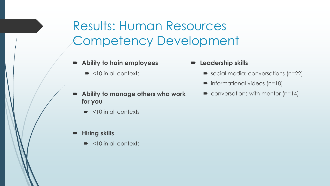Results: Human Resources Competency Development

- **Ability to train employees**
	- $\blacktriangleright$  <10 in all contexts
- **Ability to manage others who work for you**
	- $\blacktriangleright$  <10 in all contexts
- **Hiring skills**
	- $\blacktriangleright$  <10 in all contexts
- **Leadership skills**
	- social media: conversations (n=22)
	- informational videos (n=18)
	- conversations with mentor  $(n=14)$